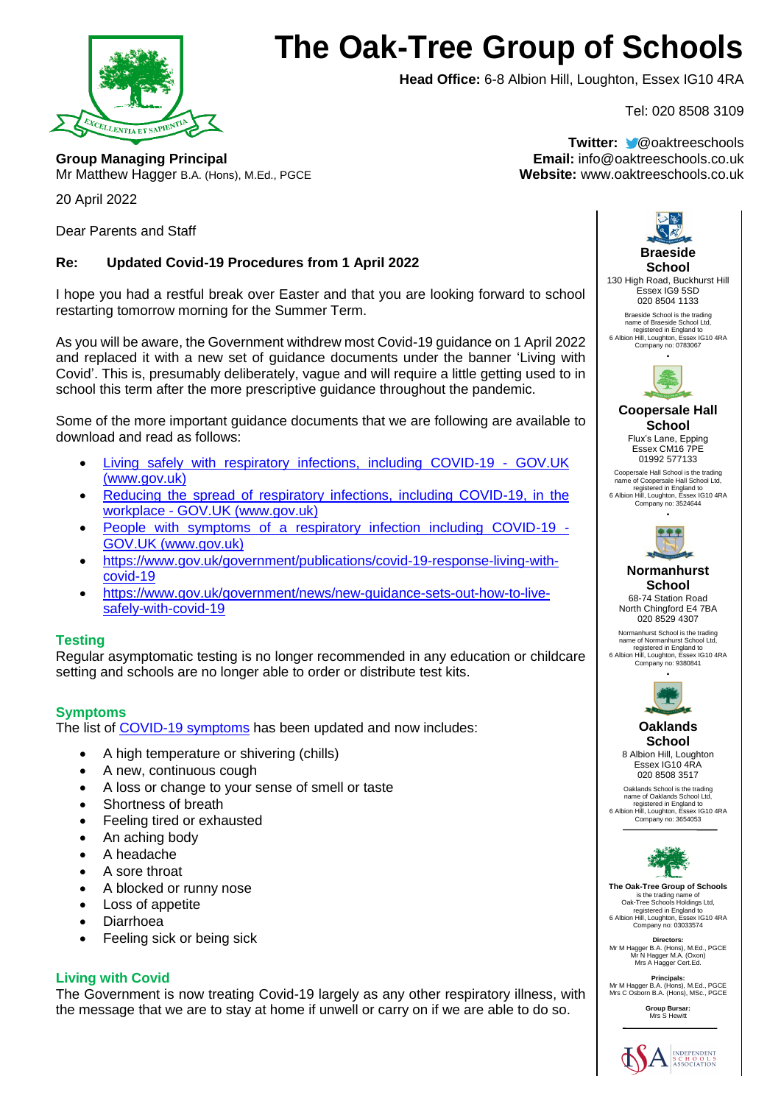

# **The Oak-Tree Group of Schools**

**Head Office:** 6-8 Albion Hill, Loughton, Essex IG10 4RA

Tel: 020 8508 3109

**Group Managing Principal Email:** info@oaktreeschools.co.uk Mr Matthew Hagger B.A. (Hons), M.Ed., PGCE **Website:** www.oaktreeschools.co.uk

**Twitter:** @oaktreeschools

20 April 2022

Dear Parents and Staff

## **Re: Updated Covid-19 Procedures from 1 April 2022**

I hope you had a restful break over Easter and that you are looking forward to school restarting tomorrow morning for the Summer Term.

As you will be aware, the Government withdrew most Covid-19 guidance on 1 April 2022 and replaced it with a new set of guidance documents under the banner 'Living with Covid'. This is, presumably deliberately, vague and will require a little getting used to in school this term after the more prescriptive guidance throughout the pandemic.

Some of the more important guidance documents that we are following are available to download and read as follows:

- [Living safely with respiratory infections, including COVID-19 -](https://www.gov.uk/guidance/living-safely-with-respiratory-infections-including-covid-19) GOV.UK [\(www.gov.uk\)](https://www.gov.uk/guidance/living-safely-with-respiratory-infections-including-covid-19)
- [Reducing the spread of respiratory infections, including COVID-19, in the](https://www.gov.uk/guidance/reducing-the-spread-of-respiratory-infections-including-covid-19-in-the-workplace)  workplace - [GOV.UK \(www.gov.uk\)](https://www.gov.uk/guidance/reducing-the-spread-of-respiratory-infections-including-covid-19-in-the-workplace)
- [People with symptoms of a respiratory infection including COVID-19 -](https://www.gov.uk/guidance/people-with-symptoms-of-a-respiratory-infection-including-covid-19) [GOV.UK \(www.gov.uk\)](https://www.gov.uk/guidance/people-with-symptoms-of-a-respiratory-infection-including-covid-19)
- [https://www.gov.uk/government/publications/covid-19-response-living-with](https://www.gov.uk/government/publications/covid-19-response-living-with-covid-19)[covid-19](https://www.gov.uk/government/publications/covid-19-response-living-with-covid-19)
- [https://www.gov.uk/government/news/new-guidance-sets-out-how-to-live](https://www.gov.uk/government/news/new-guidance-sets-out-how-to-live-safely-with-covid-19)[safely-with-covid-19](https://www.gov.uk/government/news/new-guidance-sets-out-how-to-live-safely-with-covid-19)

### **Testing**

Regular asymptomatic testing is no longer recommended in any education or childcare setting and schools are no longer able to order or distribute test kits.

### **Symptoms**

The list of [COVID-19 symptoms](https://eur02.safelinks.protection.outlook.com/?url=https%3A%2F%2Fwww.nhs.uk%2Fconditions%2Fcoronavirus-covid-19%2Fsymptoms%2F&data=04%7C01%7C%7Cdc5e48119fba4eb4872a08da21cf9e96%7Ca8b4324f155c4215a0f17ed8cc9a992f%7C0%7C0%7C637859472987034380%7CUnknown%7CTWFpbGZsb3d8eyJWIjoiMC4wLjAwMDAiLCJQIjoiV2luMzIiLCJBTiI6Ik1haWwiLCJXVCI6Mn0%3D%7C3000&sdata=zPYtqnExmLDnFkoPNGL70TQR47DaW6NIbOeSYfJea3k%3D&reserved=0) has been updated and now includes:

- A high temperature or shivering (chills)
- A new, continuous cough
- A loss or change to your sense of smell or taste
- Shortness of breath
- Feeling tired or exhausted
- An aching body
- A headache
- A sore throat
- A blocked or runny nose
- Loss of appetite
- Diarrhoea
- Feeling sick or being sick

### **Living with Covid**

The Government is now treating Covid-19 largely as any other respiratory illness, with the message that we are to stay at home if unwell or carry on if we are able to do so.



**Group Bursar:** Mrs S Hewitt